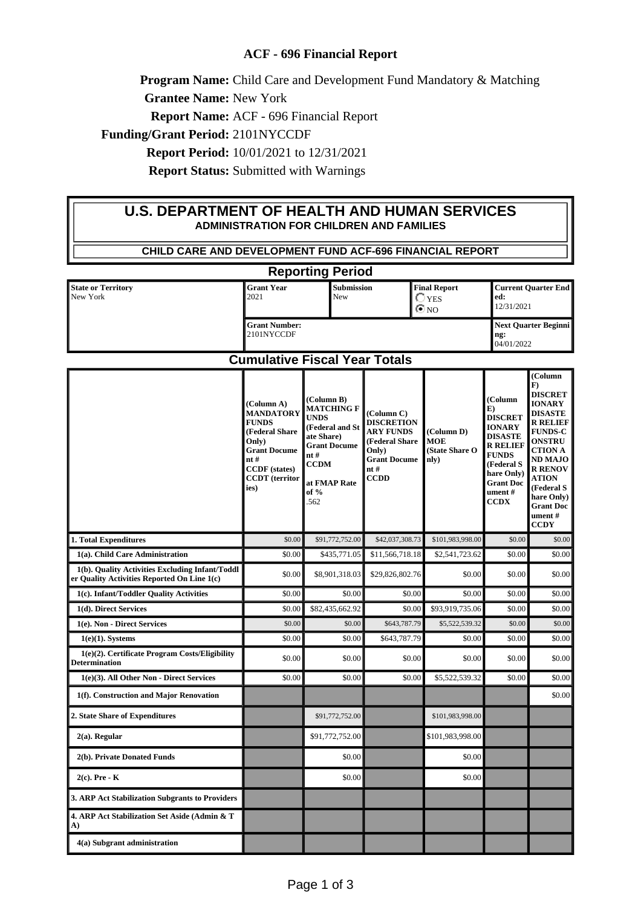## **ACF - 696 Financial Report**

**Program Name:** Child Care and Development Fund Mandatory & Matching

**Grantee Name:** New York

**Report Name:** ACF - 696 Financial Report

**Funding/Grant Period:** 2101NYCCDF

**Report Period:** 10/01/2021 to 12/31/2021

**Report Status:** Submitted with Warnings

## **U.S. DEPARTMENT OF HEALTH AND HUMAN SERVICES ADMINISTRATION FOR CHILDREN AND FAMILIES**

| CHILD CARE AND DEVELOPMENT FUND ACF-696 FINANCIAL REPORT                                                                          |                                                                                                                                                                  |                                                                                                                                                                |                                                                                                                              |                                                     |                                                                                                                                                                                 |                                                                                                                                                                                                                                                                               |
|-----------------------------------------------------------------------------------------------------------------------------------|------------------------------------------------------------------------------------------------------------------------------------------------------------------|----------------------------------------------------------------------------------------------------------------------------------------------------------------|------------------------------------------------------------------------------------------------------------------------------|-----------------------------------------------------|---------------------------------------------------------------------------------------------------------------------------------------------------------------------------------|-------------------------------------------------------------------------------------------------------------------------------------------------------------------------------------------------------------------------------------------------------------------------------|
| <b>Reporting Period</b>                                                                                                           |                                                                                                                                                                  |                                                                                                                                                                |                                                                                                                              |                                                     |                                                                                                                                                                                 |                                                                                                                                                                                                                                                                               |
| <b>State or Territory</b><br>New York                                                                                             | <b>Grant Year</b><br>2021                                                                                                                                        | <b>Submission</b><br>New                                                                                                                                       |                                                                                                                              | <b>Final Report</b><br>$\bigcirc$ yes<br>$\odot$ NO | ed:<br>12/31/2021                                                                                                                                                               | <b>Current Quarter End</b>                                                                                                                                                                                                                                                    |
|                                                                                                                                   | <b>Grant Number:</b><br>2101NYCCDF                                                                                                                               |                                                                                                                                                                |                                                                                                                              | <b>Next Quarter Beginni</b><br>ng:<br>04/01/2022    |                                                                                                                                                                                 |                                                                                                                                                                                                                                                                               |
| <b>Cumulative Fiscal Year Totals</b>                                                                                              |                                                                                                                                                                  |                                                                                                                                                                |                                                                                                                              |                                                     |                                                                                                                                                                                 |                                                                                                                                                                                                                                                                               |
|                                                                                                                                   | (Column A)<br><b>MANDATORY</b><br><b>FUNDS</b><br>(Federal Share<br>Only)<br><b>Grant Docume</b><br>nt#<br><b>CCDF</b> (states)<br><b>CCDT</b> (territor<br>ies) | (Column B)<br><b>MATCHING F</b><br><b>UNDS</b><br>(Federal and St<br>ate Share)<br><b>Grant Docume</b><br>nt#<br><b>CCDM</b><br>at FMAP Rate<br>of $%$<br>.562 | (Column C)<br><b>DISCRETION</b><br><b>ARY FUNDS</b><br>(Federal Share<br>Only)<br><b>Grant Docume</b><br>nt #<br><b>CCDD</b> | (Column D)<br><b>MOE</b><br>(State Share O<br>nly)  | (Column<br>E)<br><b>DISCRET</b><br><b>IONARY</b><br><b>DISASTE</b><br><b>R RELIEF</b><br><b>FUNDS</b><br>(Federal S<br>hare Only)<br><b>Grant Doc</b><br>ument #<br><b>CCDX</b> | (Column<br>$\bf{F}$<br><b>DISCRET</b><br><b>IONARY</b><br><b>DISASTE</b><br><b>R RELIEF</b><br><b>FUNDS-C</b><br><b>ONSTRU</b><br><b>CTION A</b><br><b>ND MAJO</b><br><b>R RENOV</b><br><b>ATION</b><br>(Federal S<br>hare Only)<br><b>Grant Doc</b><br>ument#<br><b>CCDY</b> |
| 1. Total Expenditures                                                                                                             | \$0.00                                                                                                                                                           | \$91,772,752.00                                                                                                                                                | \$42,037,308.73                                                                                                              | \$101,983,998.00                                    | \$0.00                                                                                                                                                                          | \$0.00                                                                                                                                                                                                                                                                        |
| 1(a). Child Care Administration<br>1(b). Quality Activities Excluding Infant/Toddl<br>er Quality Activities Reported On Line 1(c) | \$0.00<br>\$0.00                                                                                                                                                 | \$435,771.05<br>\$8,901,318.03                                                                                                                                 | \$11,566,718.18<br>\$29,826,802.76                                                                                           | \$2,541,723.62<br>\$0.00                            | \$0.00<br>\$0.00                                                                                                                                                                | \$0.00<br>\$0.00                                                                                                                                                                                                                                                              |
| 1(c). Infant/Toddler Quality Activities                                                                                           | \$0.00                                                                                                                                                           | \$0.00                                                                                                                                                         | \$0.00                                                                                                                       | \$0.00                                              | \$0.00                                                                                                                                                                          | \$0.00                                                                                                                                                                                                                                                                        |
| 1(d). Direct Services                                                                                                             | \$0.00                                                                                                                                                           | \$82,435,662.92                                                                                                                                                | \$0.00                                                                                                                       | \$93,919,735.06                                     | \$0.00                                                                                                                                                                          | \$0.00                                                                                                                                                                                                                                                                        |
| 1(e). Non - Direct Services                                                                                                       | \$0.00                                                                                                                                                           | \$0.00                                                                                                                                                         | \$643,787.79                                                                                                                 | \$5,522,539.32                                      | \$0.00                                                                                                                                                                          | \$0.00                                                                                                                                                                                                                                                                        |
| $1(e)(1)$ . Systems                                                                                                               | \$0.00                                                                                                                                                           | \$0.00                                                                                                                                                         | \$643,787.79                                                                                                                 | \$0.00                                              | \$0.00                                                                                                                                                                          | \$0.00                                                                                                                                                                                                                                                                        |
| 1(e)(2). Certificate Program Costs/Eligibility<br><b>Determination</b>                                                            | \$0.00                                                                                                                                                           | \$0.00                                                                                                                                                         | \$0.00                                                                                                                       | \$0.00                                              | \$0.00                                                                                                                                                                          | \$0.00                                                                                                                                                                                                                                                                        |
| 1(e)(3). All Other Non - Direct Services                                                                                          | \$0.00                                                                                                                                                           | \$0.00                                                                                                                                                         | \$0.00                                                                                                                       | \$5,522,539.32                                      | \$0.00                                                                                                                                                                          | \$0.00                                                                                                                                                                                                                                                                        |
| 1(f). Construction and Major Renovation                                                                                           |                                                                                                                                                                  |                                                                                                                                                                |                                                                                                                              |                                                     |                                                                                                                                                                                 | \$0.00                                                                                                                                                                                                                                                                        |
| 2. State Share of Expenditures                                                                                                    |                                                                                                                                                                  | \$91,772,752.00                                                                                                                                                |                                                                                                                              | \$101,983,998.00                                    |                                                                                                                                                                                 |                                                                                                                                                                                                                                                                               |
| $2(a)$ . Regular                                                                                                                  |                                                                                                                                                                  | \$91,772,752.00                                                                                                                                                |                                                                                                                              | \$101,983,998.00                                    |                                                                                                                                                                                 |                                                                                                                                                                                                                                                                               |
| 2(b). Private Donated Funds                                                                                                       |                                                                                                                                                                  | \$0.00                                                                                                                                                         |                                                                                                                              | \$0.00                                              |                                                                                                                                                                                 |                                                                                                                                                                                                                                                                               |
| $2(c)$ . Pre - K                                                                                                                  |                                                                                                                                                                  | \$0.00                                                                                                                                                         |                                                                                                                              | \$0.00                                              |                                                                                                                                                                                 |                                                                                                                                                                                                                                                                               |
| 3. ARP Act Stabilization Subgrants to Providers                                                                                   |                                                                                                                                                                  |                                                                                                                                                                |                                                                                                                              |                                                     |                                                                                                                                                                                 |                                                                                                                                                                                                                                                                               |
| 4. ARP Act Stabilization Set Aside (Admin & T<br>A)                                                                               |                                                                                                                                                                  |                                                                                                                                                                |                                                                                                                              |                                                     |                                                                                                                                                                                 |                                                                                                                                                                                                                                                                               |
| 4(a) Subgrant administration                                                                                                      |                                                                                                                                                                  |                                                                                                                                                                |                                                                                                                              |                                                     |                                                                                                                                                                                 |                                                                                                                                                                                                                                                                               |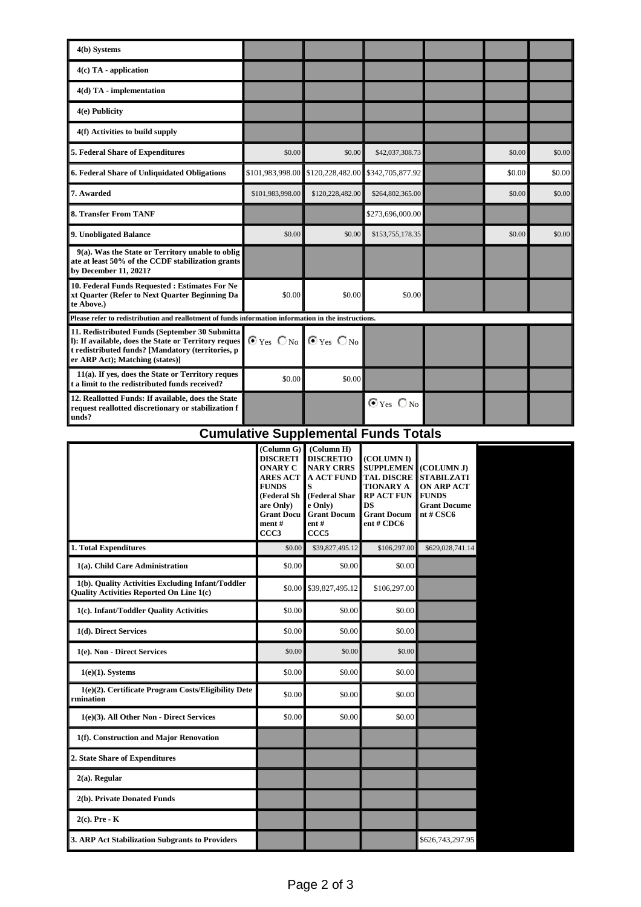| 4(b) Systems                                                                                                                                                                                    |                                                        |                  |                        |  |        |        |
|-------------------------------------------------------------------------------------------------------------------------------------------------------------------------------------------------|--------------------------------------------------------|------------------|------------------------|--|--------|--------|
| $4(c)$ TA - application                                                                                                                                                                         |                                                        |                  |                        |  |        |        |
| 4(d) TA - implementation                                                                                                                                                                        |                                                        |                  |                        |  |        |        |
| 4(e) Publicity                                                                                                                                                                                  |                                                        |                  |                        |  |        |        |
| 4(f) Activities to build supply                                                                                                                                                                 |                                                        |                  |                        |  |        |        |
| 5. Federal Share of Expenditures                                                                                                                                                                | \$0.00                                                 | \$0.00           | \$42,037,308.73        |  | \$0.00 | \$0.00 |
| 6. Federal Share of Unliquidated Obligations                                                                                                                                                    | \$101,983,998.00                                       | \$120,228,482.00 | \$342,705,877.92       |  | \$0.00 | \$0.00 |
| 7. Awarded                                                                                                                                                                                      | \$101,983,998.00                                       | \$120,228,482.00 | \$264,802,365.00       |  | \$0.00 | \$0.00 |
| 8. Transfer From TANF                                                                                                                                                                           |                                                        |                  | \$273,696,000.00       |  |        |        |
| 9. Unobligated Balance                                                                                                                                                                          | \$0.00                                                 | \$0.00           | \$153,755,178.35       |  | \$0.00 | \$0.00 |
| 9(a). Was the State or Territory unable to oblig<br>ate at least 50% of the CCDF stabilization grants<br>by December 11, 2021?                                                                  |                                                        |                  |                        |  |        |        |
| 10. Federal Funds Requested : Estimates For Ne<br>xt Quarter (Refer to Next Quarter Beginning Da<br>te Above.)                                                                                  | \$0.00                                                 | \$0.00           | \$0.00                 |  |        |        |
| Please refer to redistribution and reallotment of funds information information in the instructions.                                                                                            |                                                        |                  |                        |  |        |        |
| 11. Redistributed Funds (September 30 Submitta)<br>I): If available, does the State or Territory reques<br>t redistributed funds? [Mandatory (territories, p<br>er ARP Act); Matching (states)] | $\odot$ Yes $\bigcirc$ No $\bigcirc$ Yes $\bigcirc$ No |                  |                        |  |        |        |
| 11(a). If yes, does the State or Territory reques<br>t a limit to the redistributed funds received?                                                                                             | \$0.00                                                 | \$0.00           |                        |  |        |        |
| 12. Reallotted Funds: If available, does the State<br>request reallotted discretionary or stabilization f<br>unds?                                                                              |                                                        |                  | $\odot$ Yes $\odot$ No |  |        |        |

## **Cumulative Supplemental Funds Totals**

|                                                                                                      | (Column G)<br><b>DISCRETI</b><br><b>ONARY C</b><br><b>ARES ACT</b><br><b>FUNDS</b><br>(Federal Sh<br>are Only)<br><b>Grant Docu</b><br>ment#<br>CCC <sub>3</sub> | (Column H)<br><b>DISCRETIO</b><br><b>NARY CRRS</b><br><b>A ACT FUND</b><br>S<br>(Federal Shar<br>e Only)<br><b>Grant Docum</b><br>$ent$ #<br>CCC <sub>5</sub> | (COLUMN I)<br><b>SUPPLEMEN</b><br><b>TAL DISCRE</b><br><b>TIONARY A</b><br><b>RP ACT FUN</b><br>DS<br><b>Grant Docum</b><br>ent#CDC6 | (COLUMN J)<br><b>STABILZATI</b><br><b>ON ARP ACT</b><br><b>FUNDS</b><br><b>Grant Docume</b><br>nt#CSC6 |
|------------------------------------------------------------------------------------------------------|------------------------------------------------------------------------------------------------------------------------------------------------------------------|---------------------------------------------------------------------------------------------------------------------------------------------------------------|--------------------------------------------------------------------------------------------------------------------------------------|--------------------------------------------------------------------------------------------------------|
| 1. Total Expenditures                                                                                | \$0.00                                                                                                                                                           | \$39,827,495.12                                                                                                                                               | \$106,297.00                                                                                                                         | \$629,028,741.14                                                                                       |
| 1(a). Child Care Administration                                                                      | \$0.00                                                                                                                                                           | \$0.00                                                                                                                                                        | \$0.00                                                                                                                               |                                                                                                        |
| 1(b). Quality Activities Excluding Infant/Toddler<br><b>Ouality Activities Reported On Line 1(c)</b> | \$0.00                                                                                                                                                           | \$39,827,495.12                                                                                                                                               | \$106,297.00                                                                                                                         |                                                                                                        |
| 1(c). Infant/Toddler Quality Activities                                                              | \$0.00                                                                                                                                                           | \$0.00                                                                                                                                                        | \$0.00                                                                                                                               |                                                                                                        |
| 1(d). Direct Services                                                                                | \$0.00                                                                                                                                                           | \$0.00                                                                                                                                                        | \$0.00                                                                                                                               |                                                                                                        |
| 1(e). Non - Direct Services                                                                          | \$0.00                                                                                                                                                           | \$0.00                                                                                                                                                        | \$0.00                                                                                                                               |                                                                                                        |
| $1(e)(1)$ . Systems                                                                                  | \$0.00                                                                                                                                                           | \$0.00                                                                                                                                                        | \$0.00                                                                                                                               |                                                                                                        |
| 1(e)(2). Certificate Program Costs/Eligibility Dete<br>rmination                                     | \$0.00                                                                                                                                                           | \$0.00                                                                                                                                                        | \$0.00                                                                                                                               |                                                                                                        |
| 1(e)(3). All Other Non - Direct Services                                                             | \$0.00                                                                                                                                                           | \$0.00                                                                                                                                                        | \$0.00                                                                                                                               |                                                                                                        |
| 1(f). Construction and Major Renovation                                                              |                                                                                                                                                                  |                                                                                                                                                               |                                                                                                                                      |                                                                                                        |
| 2. State Share of Expenditures                                                                       |                                                                                                                                                                  |                                                                                                                                                               |                                                                                                                                      |                                                                                                        |
| $2(a)$ . Regular                                                                                     |                                                                                                                                                                  |                                                                                                                                                               |                                                                                                                                      |                                                                                                        |
| 2(b). Private Donated Funds                                                                          |                                                                                                                                                                  |                                                                                                                                                               |                                                                                                                                      |                                                                                                        |
| $2(c)$ . Pre - K                                                                                     |                                                                                                                                                                  |                                                                                                                                                               |                                                                                                                                      |                                                                                                        |
| 3. ARP Act Stabilization Subgrants to Providers                                                      |                                                                                                                                                                  |                                                                                                                                                               |                                                                                                                                      | \$626,743,297.95                                                                                       |